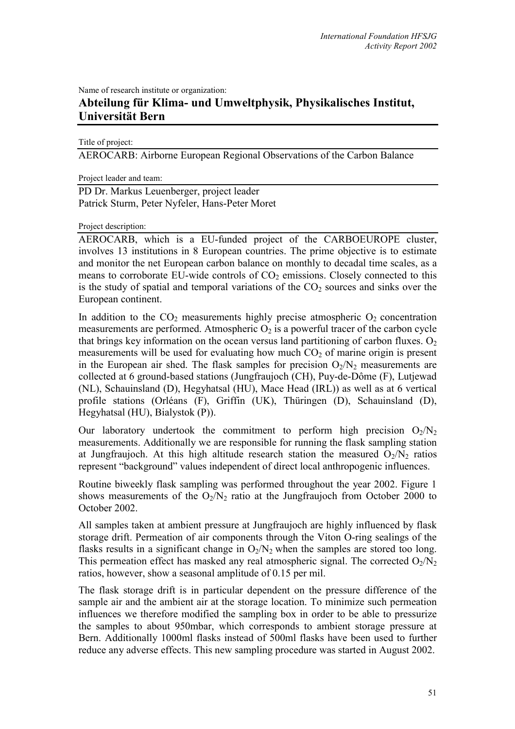Name of research institute or organization:

## **Abteilung für Klima- und Umweltphysik, Physikalisches Institut, Universität Bern**

Title of project:

AEROCARB: Airborne European Regional Observations of the Carbon Balance

Project leader and team:

PD Dr. Markus Leuenberger, project leader Patrick Sturm, Peter Nyfeler, Hans-Peter Moret

Project description:

AEROCARB, which is a EU-funded project of the CARBOEUROPE cluster, involves 13 institutions in 8 European countries. The prime objective is to estimate and monitor the net European carbon balance on monthly to decadal time scales, as a means to corroborate EU-wide controls of  $CO<sub>2</sub>$  emissions. Closely connected to this is the study of spatial and temporal variations of the  $CO<sub>2</sub>$  sources and sinks over the European continent.

In addition to the  $CO<sub>2</sub>$  measurements highly precise atmospheric  $O<sub>2</sub>$  concentration measurements are performed. Atmospheric  $O_2$  is a powerful tracer of the carbon cycle that brings key information on the ocean versus land partitioning of carbon fluxes.  $O_2$ measurements will be used for evaluating how much  $CO<sub>2</sub>$  of marine origin is present in the European air shed. The flask samples for precision  $O_2/N_2$  measurements are collected at 6 ground-based stations (Jungfraujoch (CH), Puy-de-Dôme (F), Lutjewad (NL), Schauinsland (D), Hegyhatsal (HU), Mace Head (IRL)) as well as at 6 vertical profile stations (Orléans (F), Griffin (UK), Thüringen (D), Schauinsland (D), Hegyhatsal (HU), Bialystok (P)).

Our laboratory undertook the commitment to perform high precision  $O_2/N_2$ measurements. Additionally we are responsible for running the flask sampling station at Jungfraujoch. At this high altitude research station the measured  $O_2/N_2$  ratios represent "background" values independent of direct local anthropogenic influences.

Routine biweekly flask sampling was performed throughout the year 2002. Figure 1 shows measurements of the  $O_2/N_2$  ratio at the Jungfraujoch from October 2000 to October 2002.

All samples taken at ambient pressure at Jungfraujoch are highly influenced by flask storage drift. Permeation of air components through the Viton O-ring sealings of the flasks results in a significant change in  $O_2/N_2$  when the samples are stored too long. This permeation effect has masked any real atmospheric signal. The corrected  $O_2/N_2$ ratios, however, show a seasonal amplitude of 0.15 per mil.

The flask storage drift is in particular dependent on the pressure difference of the sample air and the ambient air at the storage location. To minimize such permeation influences we therefore modified the sampling box in order to be able to pressurize the samples to about 950mbar, which corresponds to ambient storage pressure at Bern. Additionally 1000ml flasks instead of 500ml flasks have been used to further reduce any adverse effects. This new sampling procedure was started in August 2002.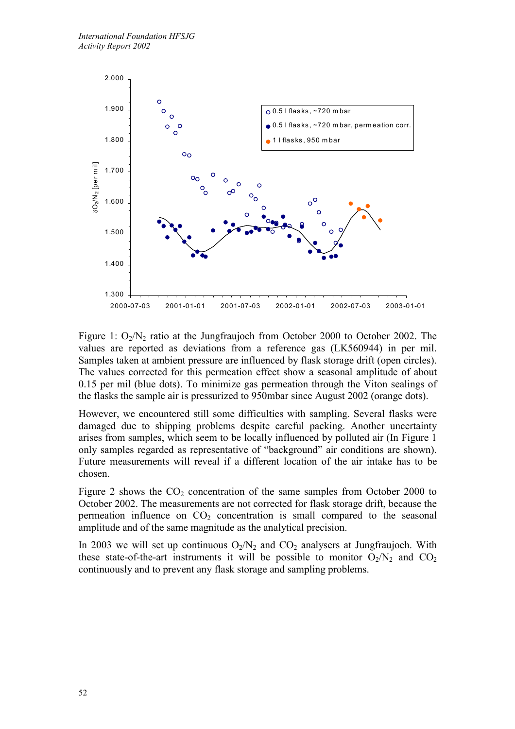

Figure 1:  $O_2/N_2$  ratio at the Jungfraujoch from October 2000 to October 2002. The values are reported as deviations from a reference gas (LK560944) in per mil. Samples taken at ambient pressure are influenced by flask storage drift (open circles). The values corrected for this permeation effect show a seasonal amplitude of about 0.15 per mil (blue dots). To minimize gas permeation through the Viton sealings of the flasks the sample air is pressurized to 950mbar since August 2002 (orange dots).

However, we encountered still some difficulties with sampling. Several flasks were damaged due to shipping problems despite careful packing. Another uncertainty arises from samples, which seem to be locally influenced by polluted air (In Figure 1 only samples regarded as representative of "background" air conditions are shown). Future measurements will reveal if a different location of the air intake has to be chosen.

Figure 2 shows the  $CO<sub>2</sub>$  concentration of the same samples from October 2000 to October 2002. The measurements are not corrected for flask storage drift, because the permeation influence on  $CO<sub>2</sub>$  concentration is small compared to the seasonal amplitude and of the same magnitude as the analytical precision.

In 2003 we will set up continuous  $O_2/N_2$  and  $CO_2$  analysers at Jungfraujoch. With these state-of-the-art instruments it will be possible to monitor  $O_2/N_2$  and  $CO_2$ continuously and to prevent any flask storage and sampling problems.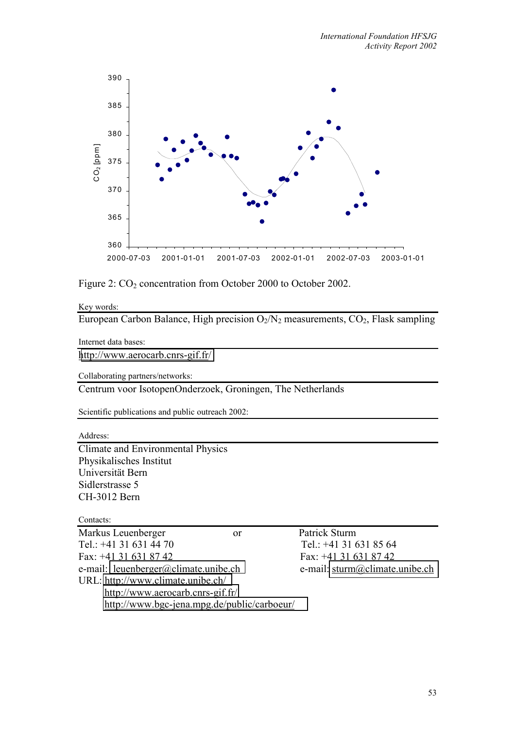

Figure 2:  $CO<sub>2</sub>$  concentration from October 2000 to October 2002.

Key words:

European Carbon Balance, High precision  $O_2/N_2$  measurements,  $CO_2$ , Flask sampling

Internet data bases:

<http://www.aerocarb.cnrs-gif.fr/>

Collaborating partners/networks:

Centrum voor IsotopenOnderzoek, Groningen, The Netherlands

Scientific publications and public outreach 2002:

Address:

Climate and Environmental Physics Physikalisches Institut Universität Bern Sidlerstrasse 5 CH-3012 Bern

Contacts:

| Markus Leuenberger                   | or                                          |
|--------------------------------------|---------------------------------------------|
| Tel.: +41 31 631 44 70               |                                             |
| Fax: +41 31 631 87 42                |                                             |
| e-mail: leuenberger@climate.unibe.ch |                                             |
| URL: http://www.climate.unibe.ch/    |                                             |
| http://www.aerocarb.cnrs-gif.fr/     |                                             |
|                                      | http://www.bgc-jena.mpg.de/public/carboeur/ |

Patrick Sturm Tel.:  $+41$  31 631 85 64 Fax: +41 31 631 87 42 e-mail: sturm@climate.unibe.ch